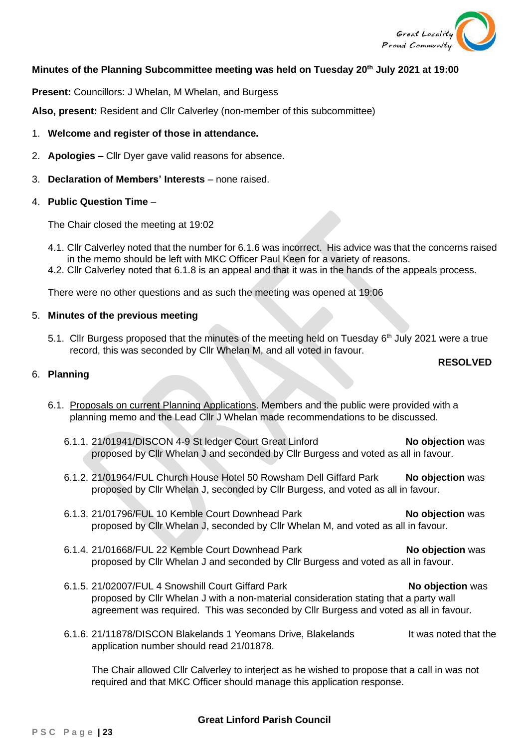

## **Minutes of the Planning Subcommittee meeting was held on Tuesday 20th July 2021 at 19:00**

**Present:** Councillors: J Whelan, M Whelan, and Burgess

**Also, present:** Resident and Cllr Calverley (non-member of this subcommittee)

## 1. **Welcome and register of those in attendance.**

- 2. **Apologies –** Cllr Dyer gave valid reasons for absence.
- 3. **Declaration of Members' Interests** none raised.

## 4. **Public Question Time** –

The Chair closed the meeting at 19:02

- 4.1. Cllr Calverley noted that the number for 6.1.6 was incorrect. His advice was that the concerns raised in the memo should be left with MKC Officer Paul Keen for a variety of reasons.
- 4.2. Cllr Calverley noted that 6.1.8 is an appeal and that it was in the hands of the appeals process.

There were no other questions and as such the meeting was opened at 19:06

## 5. **Minutes of the previous meeting**

5.1. Cllr Burgess proposed that the minutes of the meeting held on Tuesday 6<sup>th</sup> July 2021 were a true record, this was seconded by Cllr Whelan M, and all voted in favour.

#### **RESOLVED**

### 6. **Planning**

- 6.1. Proposals on current Planning Applications. Members and the public were provided with a planning memo and the Lead Cllr J Whelan made recommendations to be discussed.
	- 6.1.1. 21/01941/DISCON 4-9 St ledger Court Great Linford **No objection** was proposed by Cllr Whelan J and seconded by Cllr Burgess and voted as all in favour.
	- 6.1.2. 21/01964/FUL Church House Hotel 50 Rowsham Dell Giffard Park **No objection** was proposed by Cllr Whelan J, seconded by Cllr Burgess, and voted as all in favour.
	- 6.1.3. 21/01796/FUL 10 Kemble Court Downhead Park **No objection** was proposed by Cllr Whelan J, seconded by Cllr Whelan M, and voted as all in favour.
	- 6.1.4. 21/01668/FUL 22 Kemble Court Downhead Park **No objection** was proposed by Cllr Whelan J and seconded by Cllr Burgess and voted as all in favour.
	- 6.1.5. 21/02007/FUL 4 Snowshill Court Giffard Park **No objection** was proposed by Cllr Whelan J with a non-material consideration stating that a party wall agreement was required. This was seconded by Cllr Burgess and voted as all in favour.
	- 6.1.6. 21/11878/DISCON Blakelands 1 Yeomans Drive, Blakelands It was noted that the application number should read 21/01878.

The Chair allowed Cllr Calverley to interject as he wished to propose that a call in was not required and that MKC Officer should manage this application response.